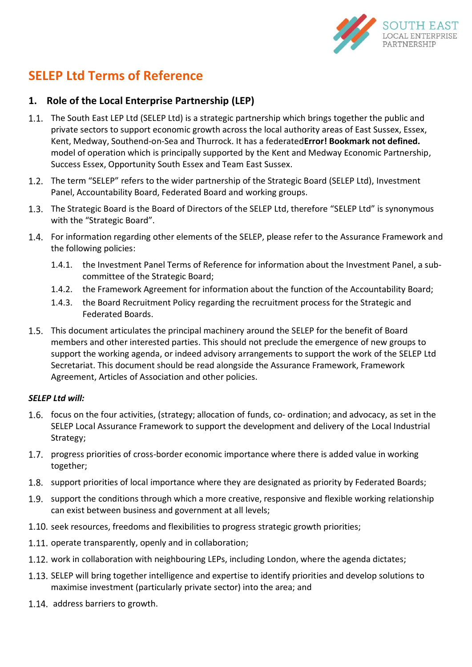

# **SELEP Ltd Terms of Reference**

# **1. Role of the Local Enterprise Partnership (LEP)**

- The South East LEP Ltd (SELEP Ltd) is a strategic partnership which brings together the public and private sectors to support economic growth across the local authority areas of East Sussex, Essex, Kent, Medway, Southend-on-Sea and Thurrock. It has a federated**Error! Bookmark not defined.** model of operation which is principally supported by the Kent and Medway Economic Partnership, Success Essex, Opportunity South Essex and Team East Sussex.
- 1.2. The term "SELEP" refers to the wider partnership of the Strategic Board (SELEP Ltd), Investment Panel, Accountability Board, Federated Board and working groups.
- 1.3. The Strategic Board is the Board of Directors of the SELEP Ltd, therefore "SELEP Ltd" is synonymous with the "Strategic Board".
- 1.4. For information regarding other elements of the SELEP, please refer to the Assurance Framework and the following policies:
	- 1.4.1. the Investment Panel Terms of Reference for information about the Investment Panel, a subcommittee of the Strategic Board;
	- 1.4.2. the Framework Agreement for information about the function of the Accountability Board;
	- 1.4.3. the Board Recruitment Policy regarding the recruitment process for the Strategic and Federated Boards.
- This document articulates the principal machinery around the SELEP for the benefit of Board members and other interested parties. This should not preclude the emergence of new groups to support the working agenda, or indeed advisory arrangements to support the work of the SELEP Ltd Secretariat. This document should be read alongside the Assurance Framework, Framework Agreement, Articles of Association and other policies.

#### *SELEP Ltd will:*

- 1.6. focus on the four activities, (strategy; allocation of funds, co- ordination; and advocacy, as set in the SELEP Local Assurance Framework to support the development and delivery of the Local Industrial Strategy;
- 1.7. progress priorities of cross-border economic importance where there is added value in working together;
- 1.8. support priorities of local importance where they are designated as priority by Federated Boards;
- 1.9. support the conditions through which a more creative, responsive and flexible working relationship can exist between business and government at all levels;
- 1.10. seek resources, freedoms and flexibilities to progress strategic growth priorities;
- 1.11. operate transparently, openly and in collaboration;
- 1.12. work in collaboration with neighbouring LEPs, including London, where the agenda dictates;
- 1.13. SELEP will bring together intelligence and expertise to identify priorities and develop solutions to maximise investment (particularly private sector) into the area; and
- 1.14. address barriers to growth.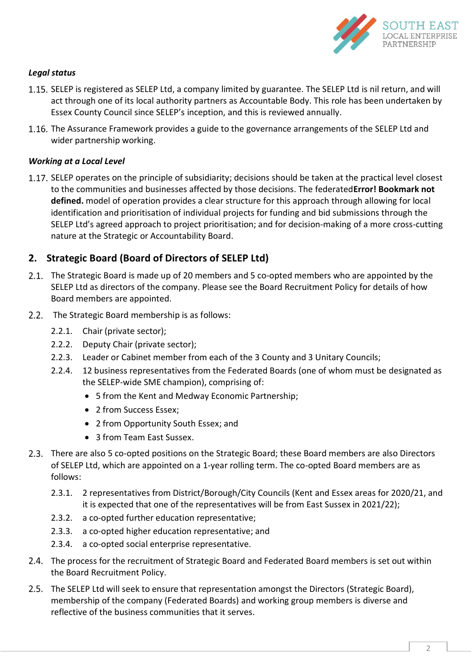

#### *Legal status*

- 1.15. SELEP is registered as SELEP Ltd, a company limited by guarantee. The SELEP Ltd is nil return, and will act through one of its local authority partners as Accountable Body. This role has been undertaken by Essex County Council since SELEP's inception, and this is reviewed annually.
- 1.16. The Assurance Framework provides a guide to the governance arrangements of the SELEP Ltd and wider partnership working.

#### *Working at a Local Level*

1.17. SELEP operates on the principle of subsidiarity; decisions should be taken at the practical level closest to the communities and businesses affected by those decisions. The federated**Error! Bookmark not defined.** model of operation provides a clear structure for this approach through allowing for local identification and prioritisation of individual projects for funding and bid submissions through the SELEP Ltd's agreed approach to project prioritisation; and for decision-making of a more cross-cutting nature at the Strategic or Accountability Board.

# **2. Strategic Board (Board of Directors of SELEP Ltd)**

- The Strategic Board is made up of 20 members and 5 co-opted members who are appointed by the SELEP Ltd as directors of the company. Please see the Board Recruitment Policy for details of how Board members are appointed.
- 2.2. The Strategic Board membership is as follows:
	- 2.2.1. Chair (private sector);
	- 2.2.2. Deputy Chair (private sector);
	- 2.2.3. Leader or Cabinet member from each of the 3 County and 3 Unitary Councils;
	- 2.2.4. 12 business representatives from the Federated Boards (one of whom must be designated as the SELEP-wide SME champion), comprising of:
		- 5 from the Kent and Medway Economic Partnership;
		- 2 from Success Essex;
		- 2 from Opportunity South Essex; and
		- 3 from Team East Sussex.
- There are also 5 co-opted positions on the Strategic Board; these Board members are also Directors of SELEP Ltd, which are appointed on a 1-year rolling term. The co-opted Board members are as follows:
	- 2.3.1. 2 representatives from District/Borough/City Councils (Kent and Essex areas for 2020/21, and it is expected that one of the representatives will be from East Sussex in 2021/22);
	- 2.3.2. a co-opted further education representative;
	- 2.3.3. a co-opted higher education representative; and
	- 2.3.4. a co-opted social enterprise representative.
- The process for the recruitment of Strategic Board and Federated Board members is set out within the Board Recruitment Policy.
- 2.5. The SELEP Ltd will seek to ensure that representation amongst the Directors (Strategic Board), membership of the company (Federated Boards) and working group members is diverse and reflective of the business communities that it serves.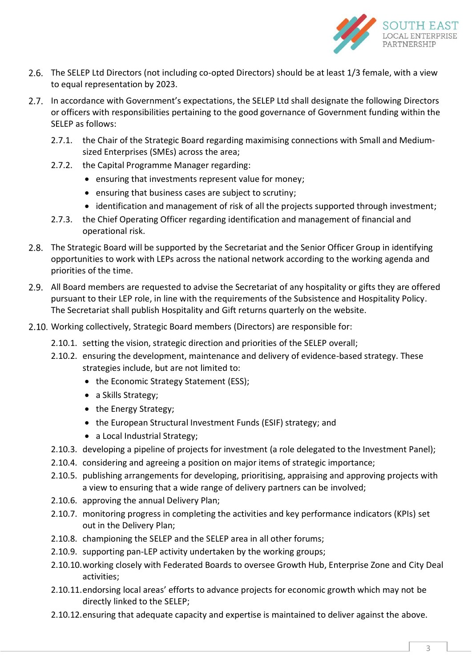

- 2.6. The SELEP Ltd Directors (not including co-opted Directors) should be at least 1/3 female, with a view to equal representation by 2023.
- 2.7. In accordance with Government's expectations, the SELEP Ltd shall designate the following Directors or officers with responsibilities pertaining to the good governance of Government funding within the SELEP as follows:
	- 2.7.1. the Chair of the Strategic Board regarding maximising connections with Small and Mediumsized Enterprises (SMEs) across the area;
	- 2.7.2. the Capital Programme Manager regarding:
		- ensuring that investments represent value for money;
		- ensuring that business cases are subject to scrutiny;
		- identification and management of risk of all the projects supported through investment;
	- 2.7.3. the Chief Operating Officer regarding identification and management of financial and operational risk.
- 2.8. The Strategic Board will be supported by the Secretariat and the Senior Officer Group in identifying opportunities to work with LEPs across the national network according to the working agenda and priorities of the time.
- All Board members are requested to advise the Secretariat of any hospitality or gifts they are offered pursuant to their LEP role, in line with the requirements of the Subsistence and Hospitality Policy. The Secretariat shall publish Hospitality and Gift returns quarterly on the website.
- 2.10. Working collectively, Strategic Board members (Directors) are responsible for:
	- 2.10.1. setting the vision, strategic direction and priorities of the SELEP overall;
	- 2.10.2. ensuring the development, maintenance and delivery of evidence-based strategy. These strategies include, but are not limited to:
		- the Economic Strategy Statement (ESS);
		- a Skills Strategy;
		- the Energy Strategy;
		- the European Structural Investment Funds (ESIF) strategy; and
		- a Local Industrial Strategy;
	- 2.10.3. developing a pipeline of projects for investment (a role delegated to the Investment Panel);
	- 2.10.4. considering and agreeing a position on major items of strategic importance;
	- 2.10.5. publishing arrangements for developing, prioritising, appraising and approving projects with a view to ensuring that a wide range of delivery partners can be involved;
	- 2.10.6. approving the annual Delivery Plan;
	- 2.10.7. monitoring progress in completing the activities and key performance indicators (KPIs) set out in the Delivery Plan;
	- 2.10.8. championing the SELEP and the SELEP area in all other forums;
	- 2.10.9. supporting pan-LEP activity undertaken by the working groups;
	- 2.10.10.working closely with Federated Boards to oversee Growth Hub, Enterprise Zone and City Deal activities;
	- 2.10.11.endorsing local areas' efforts to advance projects for economic growth which may not be directly linked to the SELEP;
	- 2.10.12.ensuring that adequate capacity and expertise is maintained to deliver against the above.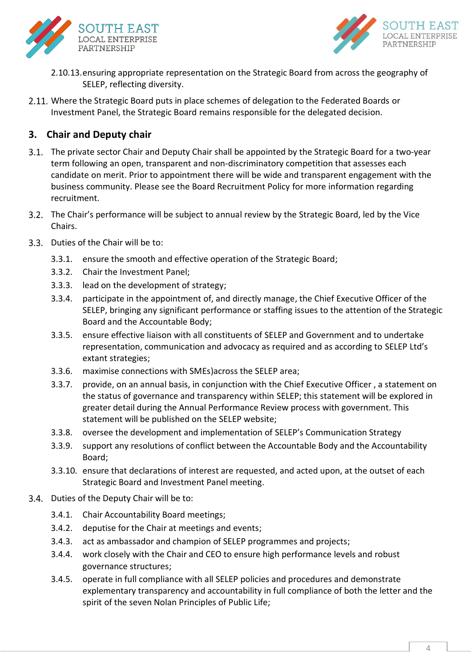



- 2.10.13.ensuring appropriate representation on the Strategic Board from across the geography of SELEP, reflecting diversity.
- 2.11. Where the Strategic Board puts in place schemes of delegation to the Federated Boards or Investment Panel, the Strategic Board remains responsible for the delegated decision.

# **3. Chair and Deputy chair**

- 3.1. The private sector Chair and Deputy Chair shall be appointed by the Strategic Board for a two-year term following an open, transparent and non-discriminatory competition that assesses each candidate on merit. Prior to appointment there will be wide and transparent engagement with the business community. Please see the Board Recruitment Policy for more information regarding recruitment.
- The Chair's performance will be subject to annual review by the Strategic Board, led by the Vice Chairs.
- 3.3. Duties of the Chair will be to:
	- 3.3.1. ensure the smooth and effective operation of the Strategic Board;
	- 3.3.2. Chair the Investment Panel;
	- 3.3.3. lead on the development of strategy;
	- 3.3.4. participate in the appointment of, and directly manage, the Chief Executive Officer of the SELEP, bringing any significant performance or staffing issues to the attention of the Strategic Board and the Accountable Body;
	- 3.3.5. ensure effective liaison with all constituents of SELEP and Government and to undertake representation, communication and advocacy as required and as according to SELEP Ltd's extant strategies;
	- 3.3.6. maximise connections with SMEs)across the SELEP area;
	- 3.3.7. provide, on an annual basis, in conjunction with the Chief Executive Officer , a statement on the status of governance and transparency within SELEP; this statement will be explored in greater detail during the Annual Performance Review process with government. This statement will be published on the SELEP website;
	- 3.3.8. oversee the development and implementation of SELEP's Communication Strategy
	- 3.3.9. support any resolutions of conflict between the Accountable Body and the Accountability Board;
	- 3.3.10. ensure that declarations of interest are requested, and acted upon, at the outset of each Strategic Board and Investment Panel meeting.
- 3.4. Duties of the Deputy Chair will be to:
	- 3.4.1. Chair Accountability Board meetings;
	- 3.4.2. deputise for the Chair at meetings and events;
	- 3.4.3. act as ambassador and champion of SELEP programmes and projects;
	- 3.4.4. work closely with the Chair and CEO to ensure high performance levels and robust governance structures;
	- 3.4.5. operate in full compliance with all SELEP policies and procedures and demonstrate explementary transparency and accountability in full compliance of both the letter and the spirit of the seven Nolan Principles of Public Life;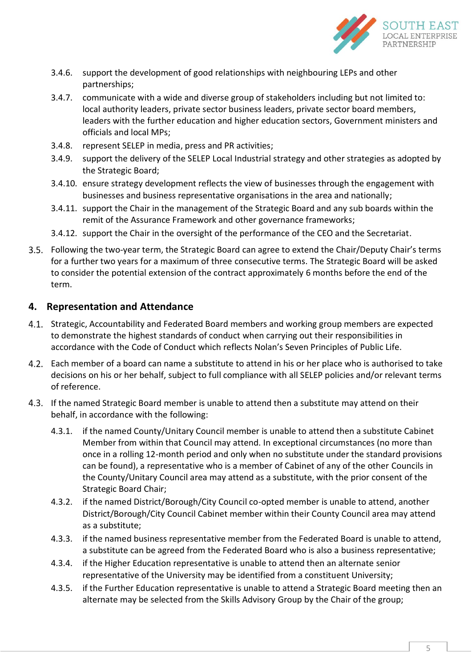

- 3.4.6. support the development of good relationships with neighbouring LEPs and other partnerships;
- 3.4.7. communicate with a wide and diverse group of stakeholders including but not limited to: local authority leaders, private sector business leaders, private sector board members, leaders with the further education and higher education sectors, Government ministers and officials and local MPs;
- 3.4.8. represent SELEP in media, press and PR activities;
- 3.4.9. support the delivery of the SELEP Local Industrial strategy and other strategies as adopted by the Strategic Board;
- 3.4.10. ensure strategy development reflects the view of businesses through the engagement with businesses and business representative organisations in the area and nationally;
- 3.4.11. support the Chair in the management of the Strategic Board and any sub boards within the remit of the Assurance Framework and other governance frameworks;
- 3.4.12. support the Chair in the oversight of the performance of the CEO and the Secretariat.
- Following the two-year term, the Strategic Board can agree to extend the Chair/Deputy Chair's terms for a further two years for a maximum of three consecutive terms. The Strategic Board will be asked to consider the potential extension of the contract approximately 6 months before the end of the term.

#### **4. Representation and Attendance**

- 4.1. Strategic, Accountability and Federated Board members and working group members are expected to demonstrate the highest standards of conduct when carrying out their responsibilities in accordance with the Code of Conduct which reflects [Nolan's Seven Principl](https://www.gov.uk/government/publications/the-7-principles-of-public-life)es of Public Life.
- Each member of a board can name a substitute to attend in his or her place who is authorised to take decisions on his or her behalf, subject to full compliance with all SELEP policies and/or relevant terms of reference.
- If the named Strategic Board member is unable to attend then a substitute may attend on their behalf, in accordance with the following:
	- 4.3.1. if the named County/Unitary Council member is unable to attend then a substitute Cabinet Member from within that Council may attend. In exceptional circumstances (no more than once in a rolling 12-month period and only when no substitute under the standard provisions can be found), a representative who is a member of Cabinet of any of the other Councils in the County/Unitary Council area may attend as a substitute, with the prior consent of the Strategic Board Chair;
	- 4.3.2. if the named District/Borough/City Council co-opted member is unable to attend, another District/Borough/City Council Cabinet member within their County Council area may attend as a substitute;
	- 4.3.3. if the named business representative member from the Federated Board is unable to attend, a substitute can be agreed from the Federated Board who is also a business representative;
	- 4.3.4. if the Higher Education representative is unable to attend then an alternate senior representative of the University may be identified from a constituent University;
	- 4.3.5. if the Further Education representative is unable to attend a Strategic Board meeting then an alternate may be selected from the Skills Advisory Group by the Chair of the group;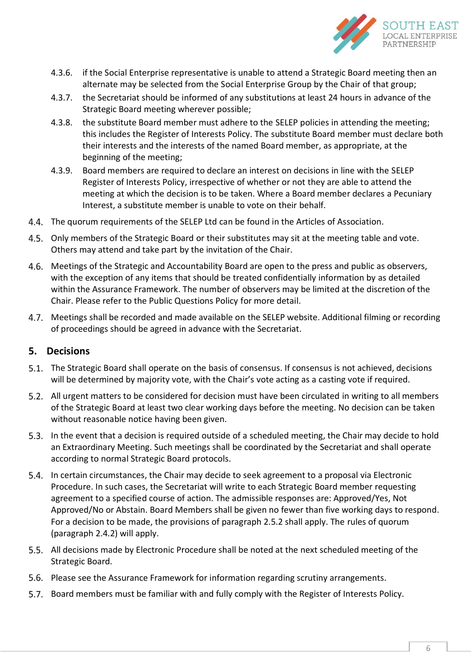

- 4.3.6. if the Social Enterprise representative is unable to attend a Strategic Board meeting then an alternate may be selected from the Social Enterprise Group by the Chair of that group;
- 4.3.7. the Secretariat should be informed of any substitutions at least 24 hours in advance of the Strategic Board meeting wherever possible;
- 4.3.8. the substitute Board member must adhere to the SELEP policies in attending the meeting; this includes the Register of Interests Policy. The substitute Board member must declare both their interests and the interests of the named Board member, as appropriate, at the beginning of the meeting;
- 4.3.9. Board members are required to declare an interest on decisions in line with the SELEP Register of Interests Policy, irrespective of whether or not they are able to attend the meeting at which the decision is to be taken. Where a Board member declares a Pecuniary Interest, a substitute member is unable to vote on their behalf.
- 4.4. The quorum requirements of the SELEP Ltd can be found in the Articles of Association.
- 4.5. Only members of the Strategic Board or their substitutes may sit at the meeting table and vote. Others may attend and take part by the invitation of the Chair.
- Meetings of the Strategic and Accountability Board are open to the press and public as observers, with the exception of any items that should be treated confidentially information by as detailed within the Assurance Framework. The number of observers may be limited at the discretion of the Chair. Please refer to the Public Questions Policy for more detail.
- Meetings shall be recorded and made available on the SELEP website. Additional filming or recording of proceedings should be agreed in advance with the Secretariat.

# **5. Decisions**

- 5.1. The Strategic Board shall operate on the basis of consensus. If consensus is not achieved, decisions will be determined by majority vote, with the Chair's vote acting as a casting vote if required.
- All urgent matters to be considered for decision must have been circulated in writing to all members of the Strategic Board at least two clear working days before the meeting. No decision can be taken without reasonable notice having been given.
- 5.3. In the event that a decision is required outside of a scheduled meeting, the Chair may decide to hold an Extraordinary Meeting. Such meetings shall be coordinated by the Secretariat and shall operate according to normal Strategic Board protocols.
- In certain circumstances, the Chair may decide to seek agreement to a proposal via Electronic Procedure. In such cases, the Secretariat will write to each Strategic Board member requesting agreement to a specified course of action. The admissible responses are: Approved/Yes, Not Approved/No or Abstain. Board Members shall be given no fewer than five working days to respond. For a decision to be made, the provisions of paragraph 2.5.2 shall apply. The rules of quorum (paragraph 2.4.2) will apply.
- 5.5. All decisions made by Electronic Procedure shall be noted at the next scheduled meeting of the Strategic Board.
- Please see the Assurance Framework for information regarding scrutiny arrangements.
- Board members must be familiar with and fully comply with the Register of Interests Policy.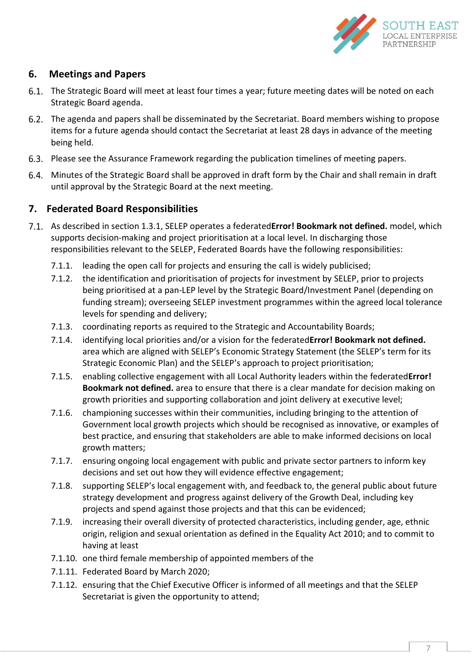

# **6. Meetings and Papers**

- The Strategic Board will meet at least four times a year; future meeting dates will be noted on each Strategic Board agenda.
- The agenda and papers shall be disseminated by the Secretariat. Board members wishing to propose items for a future agenda should contact the Secretariat at least 28 days in advance of the meeting being held.
- Please see the Assurance Framework regarding the publication timelines of meeting papers.
- Minutes of the Strategic Board shall be approved in draft form by the Chair and shall remain in draft until approval by the Strategic Board at the next meeting.

# **7. Federated Board Responsibilities**

- As described in section 1.3.1, SELEP operates a federated**Error! Bookmark not defined.** model, which supports decision-making and project prioritisation at a local level. In discharging those responsibilities relevant to the SELEP, Federated Boards have the following responsibilities:
	- 7.1.1. leading the open call for projects and ensuring the call is widely publicised;
	- 7.1.2. the identification and prioritisation of projects for investment by SELEP, prior to projects being prioritised at a pan-LEP level by the Strategic Board/Investment Panel (depending on funding stream); overseeing SELEP investment programmes within the agreed local tolerance levels for spending and delivery;
	- 7.1.3. coordinating reports as required to the Strategic and Accountability Boards;
	- 7.1.4. identifying local priorities and/or a vision for the federated**Error! Bookmark not defined.** area which are aligned with SELEP's Economic Strategy Statement (the SELEP's term for its Strategic Economic Plan) and the SELEP's approach to project prioritisation;
	- 7.1.5. enabling collective engagement with all Local Authority leaders within the federated**Error! Bookmark not defined.** area to ensure that there is a clear mandate for decision making on growth priorities and supporting collaboration and joint delivery at executive level;
	- 7.1.6. championing successes within their communities, including bringing to the attention of Government local growth projects which should be recognised as innovative, or examples of best practice, and ensuring that stakeholders are able to make informed decisions on local growth matters;
	- 7.1.7. ensuring ongoing local engagement with public and private sector partners to inform key decisions and set out how they will evidence effective engagement;
	- 7.1.8. supporting SELEP's local engagement with, and feedback to, the general public about future strategy development and progress against delivery of the Growth Deal, including key projects and spend against those projects and that this can be evidenced;
	- 7.1.9. increasing their overall diversity of protected characteristics, including gender, age, ethnic origin, religion and sexual orientation as defined in the Equality Act 2010; and to commit to having at least
	- 7.1.10. one third female membership of appointed members of the
	- 7.1.11. Federated Board by March 2020;
	- 7.1.12. ensuring that the Chief Executive Officer is informed of all meetings and that the SELEP Secretariat is given the opportunity to attend;